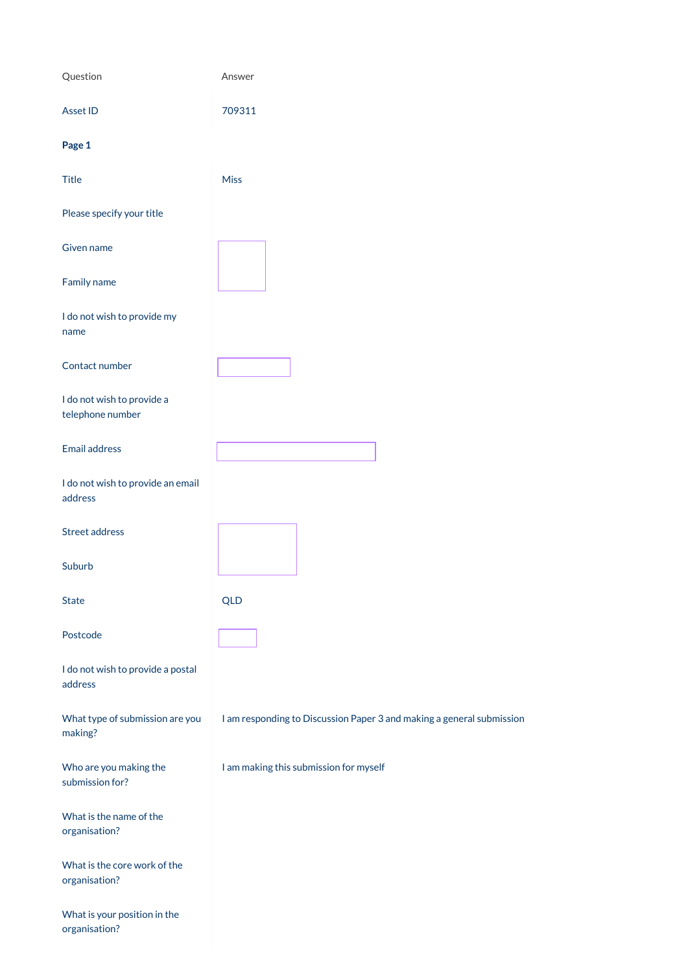| Question                                       | Answer                                                                |
|------------------------------------------------|-----------------------------------------------------------------------|
| Asset ID                                       | 709311                                                                |
| Page 1                                         |                                                                       |
| <b>Title</b>                                   | <b>Miss</b>                                                           |
| Please specify your title                      |                                                                       |
| Given name                                     |                                                                       |
| Family name                                    |                                                                       |
| I do not wish to provide my<br>name            |                                                                       |
| Contact number                                 |                                                                       |
| I do not wish to provide a<br>telephone number |                                                                       |
| <b>Email address</b>                           |                                                                       |
| I do not wish to provide an email<br>address   |                                                                       |
| <b>Street address</b>                          |                                                                       |
| Suburb                                         |                                                                       |
| <b>State</b>                                   | <b>QLD</b>                                                            |
| Postcode                                       |                                                                       |
| I do not wish to provide a postal<br>address   |                                                                       |
| What type of submission are you                | I am responding to Discussion Paper 3 and making a general submission |

making?

Who are you making the submission for?

I am making this submission for myself

What is the name of the organisation?

What is the core work of the organisation?

What is your position in the organisation?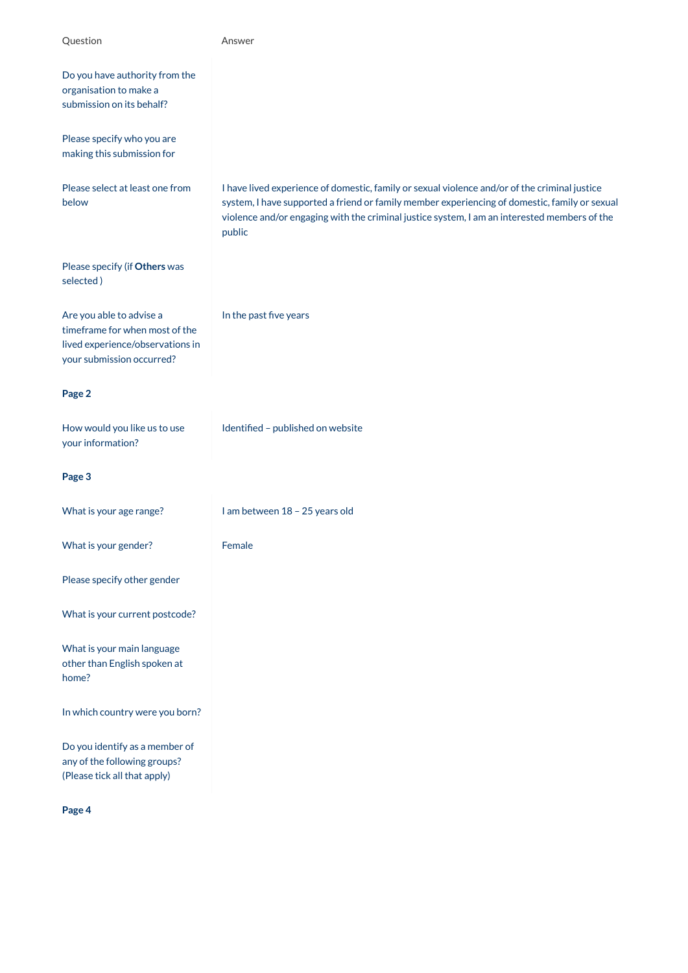| Question                                                                                                                    | Answer                                                                                                                                                                                                                                                                                                   |
|-----------------------------------------------------------------------------------------------------------------------------|----------------------------------------------------------------------------------------------------------------------------------------------------------------------------------------------------------------------------------------------------------------------------------------------------------|
| Do you have authority from the<br>organisation to make a<br>submission on its behalf?                                       |                                                                                                                                                                                                                                                                                                          |
| Please specify who you are<br>making this submission for                                                                    |                                                                                                                                                                                                                                                                                                          |
| Please select at least one from<br>below                                                                                    | I have lived experience of domestic, family or sexual violence and/or of the criminal justice<br>system, I have supported a friend or family member experiencing of domestic, family or sexual<br>violence and/or engaging with the criminal justice system, I am an interested members of the<br>public |
| Please specify (if Others was<br>selected)                                                                                  |                                                                                                                                                                                                                                                                                                          |
| Are you able to advise a<br>timeframe for when most of the<br>lived experience/observations in<br>your submission occurred? | In the past five years                                                                                                                                                                                                                                                                                   |
| Page 2                                                                                                                      |                                                                                                                                                                                                                                                                                                          |
| How would you like us to use<br>your information?                                                                           | Identified - published on website                                                                                                                                                                                                                                                                        |
| Page 3                                                                                                                      |                                                                                                                                                                                                                                                                                                          |
| What is your age range?                                                                                                     | I am between 18 - 25 years old                                                                                                                                                                                                                                                                           |
| What is your gender?                                                                                                        | Female                                                                                                                                                                                                                                                                                                   |
| Please specify other gender                                                                                                 |                                                                                                                                                                                                                                                                                                          |
| What is your current postcode?                                                                                              |                                                                                                                                                                                                                                                                                                          |
| What is your main language<br>other than English spoken at<br>home?                                                         |                                                                                                                                                                                                                                                                                                          |
| In which country were you born?                                                                                             |                                                                                                                                                                                                                                                                                                          |

Do you identify as a member of any of the following groups? (Please tick all that apply)

**Page 4**